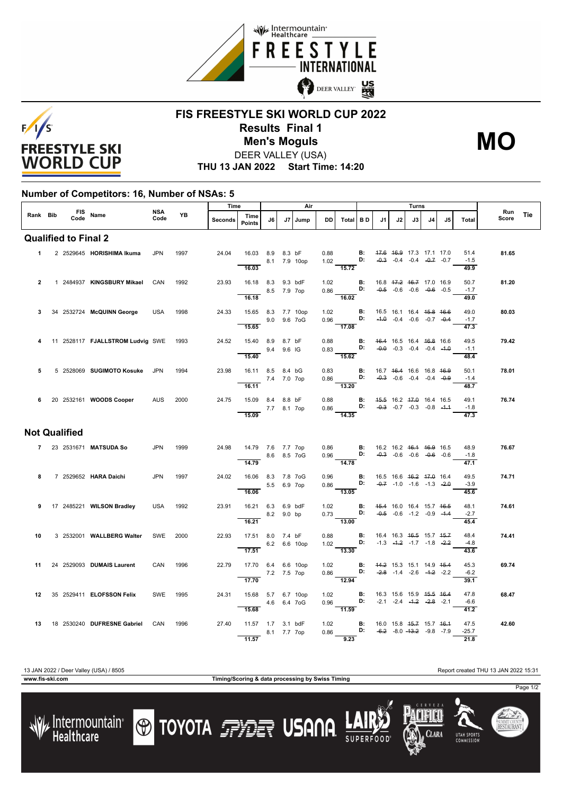



## **FIS FREESTYLE SKI WORLD CUP 2022 Results Final 1** DEER VALLEY (USA) **Men's Moguls MO**

**THU 13 JAN 2022 Start Time: 14:20**

## **Number of Competitors: 16, Number of NSAs: 5**

|                             |           | FIS Name             |                                              | NSA<br>Code |           | Time    |                                              | Air         |    |              |              |                                                                                                                                                |    | Turns |    |                                                                           |    |    |                             |              |     |
|-----------------------------|-----------|----------------------|----------------------------------------------|-------------|-----------|---------|----------------------------------------------|-------------|----|--------------|--------------|------------------------------------------------------------------------------------------------------------------------------------------------|----|-------|----|---------------------------------------------------------------------------|----|----|-----------------------------|--------------|-----|
|                             | Rank Bib  |                      |                                              |             | <b>YB</b> | Seconds | Time<br><b>Points</b>                        | J6          | J7 | Jump         | DD           | Total BD                                                                                                                                       |    | J1    | J2 | J3                                                                        | J4 | J5 | Total                       | Run<br>Score | Tie |
| <b>Qualified to Final 2</b> |           |                      |                                              |             |           |         |                                              |             |    |              |              |                                                                                                                                                |    |       |    |                                                                           |    |    |                             |              |     |
|                             | $1 \quad$ |                      | 2 2529645 HORISHIMA Ikuma                    | <b>JPN</b>  | 1997      | 24.04   | 16.03 8.9 8.3 bF                             |             |    | 8.1 7.9 10op |              | $0.88$ <b>B:</b><br>1.02 <b>D:</b>                                                                                                             |    |       |    | 47.6 46.9 17.3 17.1 17.0<br>$-0.3$ $-0.4$ $-0.4$ $-0.7$ $-0.7$            |    |    | 51.4<br>$-1.5$              | 81.65        |     |
| $\overline{2}$              |           |                      | 1 2484937 KINGSBURY Mikael CAN               |             | 1992      | 23.93   | 16.03<br>16.18 8.3 9.3 bdF                   |             |    |              | 1.02         | $\frac{11}{15.72}$                                                                                                                             |    |       |    | <b>B:</b> 16.8 47.2 46.7 17.0 16.9                                        |    |    | 49.9<br>50.7                | 81.20        |     |
|                             |           |                      |                                              |             |           |         | 8.5 7.9 7op<br>16.18                         |             |    |              |              | 1.02 <b>B:</b> 16.8 4 <del>7.2</del> 4 <del>6.7</del> 17.0 16.9<br>0.86 <b>D:</b> -0.5 -0.6 -0.6 -0. <del>6</del> -0.5<br>$\frac{3.38}{16.02}$ |    |       |    |                                                                           |    |    | $-1.7$<br>49.0              |              |     |
| 3                           |           |                      | 34 2532724 McQUINN George                    | <b>USA</b>  | 1998      | 24.33   | 15.65 8.3 7.7 10op<br>9.0 9.6 7oG            |             |    |              | 1.02         | $0.96$ D:                                                                                                                                      | В: |       |    | 16.5 16.1 16.4 <del>15.8</del> 16.6<br>$-4.0$ $-0.4$ $-0.6$ $-0.7$ $-0.4$ |    |    | 49.0<br>$-1.7$              | 80.03        |     |
| 4                           |           |                      | 11 2528117 <b>FJALLSTROM Ludvig SWE</b> 1993 |             |           | 24.52   | 15.65<br>15.40 8.9 8.7 bF                    |             |    |              |              | $\frac{17.08}{17.08}$<br>0.88 <b>B</b> : $46.4$ 16.5 16.4 $46.8$ 16.6<br>0.83 <b>D:</b> $-0.9$ -0.3 -0.4 -0.4 -4.0                             |    |       |    |                                                                           |    |    | 47.3<br>49.5                | 79.42        |     |
|                             |           |                      |                                              |             |           |         | $\frac{9.4}{15.40}$ 9.4 9.6 IG               |             |    |              |              | $\frac{0.00}{15.62}$                                                                                                                           |    |       |    |                                                                           |    |    | $-1.1$<br>48.4              |              |     |
| 5                           |           |                      | 5 2528069 SUGIMOTO Kosuke                    | JPN         | 1994      | 23.98   | 16.11 8.5 8.4 bG<br>7.4 7.0 7op<br>16.11     |             |    |              | 0.83         | $0.86$ D:<br>$\overline{13.20}$                                                                                                                | B: |       |    | 16.7 46.4 16.6 16.8 46.9<br>$-0.3$ $-0.6$ $-0.4$ $-0.4$ $-0.9$            |    |    | 50.1<br>$-1.4$<br>48.7      | 78.01        |     |
|                             |           |                      | 6 20 2532161 WOODS Cooper                    | <b>AUS</b>  | 2000      | 24.75   | 15.09 8.4 8.8 bF                             |             |    |              |              | 0.88 <b>B:</b> $45.5$ 16.2 $47.0$ 16.4 16.5<br>0.86 <b>D:</b> $-0.3$ -0.7 -0.3 -0.8 -4.4                                                       |    |       |    |                                                                           |    |    | 49.1                        | 76.74        |     |
|                             |           |                      |                                              |             |           |         | $- 7.7 8.1 7$ op<br>15.09                    |             |    |              |              | $\overline{14.35}$                                                                                                                             |    |       |    |                                                                           |    |    | $-1.8$<br>$\overline{47.3}$ |              |     |
|                             |           | <b>Not Qualified</b> |                                              |             |           |         |                                              |             |    |              |              |                                                                                                                                                |    |       |    |                                                                           |    |    |                             |              |     |
|                             |           |                      | 7 23 2531671 MATSUDA So                      | <b>JPN</b>  | 1999      | 24.98   | 14.79 7.6 7.7 7op<br>$8.6$ 8.5 7 oG<br>14.79 |             |    |              |              | 0.86 <b>B</b> : 16.2 16.2 4 <del>6.1</del> 46.9 16.5<br>0.96 <b>D</b> : -0.3 -0.6 -0.6 -0.6 -0.6<br>$\frac{1}{14.78}$                          |    |       |    |                                                                           |    |    | 48.9<br>$-1.8$<br>47.1      | 76.67        |     |
| 8                           |           |                      | 7 2529652 HARA Daichi                        | <b>JPN</b>  | 1997      | 24.02   | 16.06 8.3 7.8 7oG                            |             |    |              | 0.96         | D:                                                                                                                                             |    |       |    | <b>B:</b> 16.5 16.6 <del>16.2 17.0</del> 16.4                             |    |    | 49.5                        | 74.71        |     |
|                             |           |                      |                                              |             |           |         | 16.06                                        | 5.5 6.9 7op |    |              | 0.86         | $\overline{13.05}$                                                                                                                             |    |       |    | $-0.7$ $-1.0$ $-1.6$ $-1.3$ $-2.0$                                        |    |    | $-3.9$<br>45.6              |              |     |
| 9                           |           |                      | 17 2485221 WILSON Bradley                    | <b>USA</b>  | 1992      | 23.91   | 16.21 6.3 6.9 bdF<br>8.2 9.0 bp<br>16.21     |             |    |              | 1.02         | 0.73 <b>D:</b> $-0.5$ $-0.6$ $-1.2$ $-0.9$ $-1.4$<br>$\frac{1}{13.00}$                                                                         |    |       |    | <b>B:</b> 45.4 16.0 16.4 15.7 46.5                                        |    |    | 48.1<br>$-2.7$<br>45.4      | 74.61        |     |
| 10                          |           |                      | 3 2532001 WALLBERG Walter                    | SWE         | 2000      | 22.93   | 17.51 8.0 7.4 bF                             |             |    | 6.2 6.6 10op | 0.88<br>1.02 | <b>D:</b> $-1.3$ $-4.2$ $-1.7$ $-1.8$ $-2.2$                                                                                                   |    |       |    | <b>B:</b> 16.4 16.3 <del>16.5</del> 15.7 45.7                             |    |    | 48.4<br>$-4.8$              | 74.41        |     |
|                             |           |                      |                                              |             |           |         | 17.51                                        |             |    |              |              | $-13.30$                                                                                                                                       |    |       |    |                                                                           |    |    | 43.6                        |              |     |
| 11                          |           |                      | 24 2529093 <b>DUMAIS Laurent</b>             | CAN         | 1996      | 22.79   | 17.70 6.4 6.6 10op<br>7.2 7.5 7op<br>17.70   |             |    |              | 1.02         | 0.86 <b>D:</b> $-2.8$ -1.4 -2.6 -1.2 -2.2<br>$\frac{1}{2.94}$                                                                                  |    |       |    | <b>B:</b> 44.2 15.3 15.1 14.9 45.4                                        |    |    | 45.3<br>$-6.2$<br>39.1      | 69.74        |     |
| 12                          |           |                      | 35 2529411 ELOFSSON Felix                    | <b>SWE</b>  | 1995      | 24.31   | 15.68 5.7 6.7 10op                           |             |    |              | 1.02         | 0.96 <b>D:</b> $-2.1$ $-2.4$ $-4.2$ $-2.8$ $-2.1$                                                                                              |    |       |    | <b>B:</b> 16.3 15.6 15.9 45.5 46.4                                        |    |    | 47.8<br>$-6.6$              | 68.47        |     |
|                             |           |                      |                                              |             |           |         | 15.68                                        |             |    | 4.6 6.4 7oG  |              | $\frac{1}{11.59}$                                                                                                                              |    |       |    |                                                                           |    |    | 41.2                        |              |     |
|                             |           |                      | 13 18 2530240 DUFRESNE Gabriel               | CAN         | 1996      | 27.40   | 11.57  1.7  3.1  bdF<br>8.1 7.7 7op<br>11.57 |             |    |              | 1.02         | 0.86 <b>D:</b> $-6.2$ $-8.0$ $-13.2$ $-9.8$ $-7.9$<br>9.23                                                                                     |    |       |    | <b>B:</b> 16.0 15.8 45.7 15.7 46.4                                        |    |    | 47.5<br>$-25.7$<br>21.8     | 42.60        |     |

Lintermountain<br>Healthcare

**www.fis-ski.com Timing/Scoring & data processing by Swiss Timing**

**TOYOTA FILE USANA** 

Clara

**UTAH SPORT** 

Page 1/2

SUMMIT COUNT<br>**RESTAURAN**T